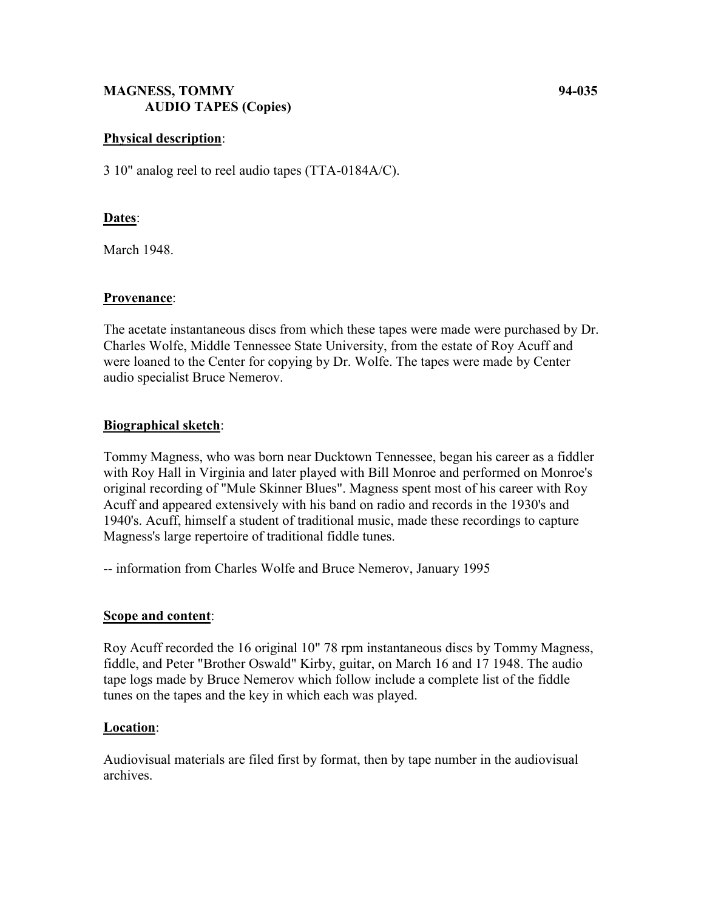## **MAGNESS, TOMMY 94-035 AUDIO TAPES (Copies)**

## **Physical description**:

3 10" analog reel to reel audio tapes (TTA-0184A/C).

### **Dates**:

March 1948.

#### **Provenance**:

The acetate instantaneous discs from which these tapes were made were purchased by Dr. Charles Wolfe, Middle Tennessee State University, from the estate of Roy Acuff and were loaned to the Center for copying by Dr. Wolfe. The tapes were made by Center audio specialist Bruce Nemerov.

## **Biographical sketch**:

Tommy Magness, who was born near Ducktown Tennessee, began his career as a fiddler with Roy Hall in Virginia and later played with Bill Monroe and performed on Monroe's original recording of "Mule Skinner Blues". Magness spent most of his career with Roy Acuff and appeared extensively with his band on radio and records in the 1930's and 1940's. Acuff, himself a student of traditional music, made these recordings to capture Magness's large repertoire of traditional fiddle tunes.

-- information from Charles Wolfe and Bruce Nemerov, January 1995

#### **Scope and content**:

Roy Acuff recorded the 16 original 10" 78 rpm instantaneous discs by Tommy Magness, fiddle, and Peter "Brother Oswald" Kirby, guitar, on March 16 and 17 1948. The audio tape logs made by Bruce Nemerov which follow include a complete list of the fiddle tunes on the tapes and the key in which each was played.

#### **Location**:

Audiovisual materials are filed first by format, then by tape number in the audiovisual archives.